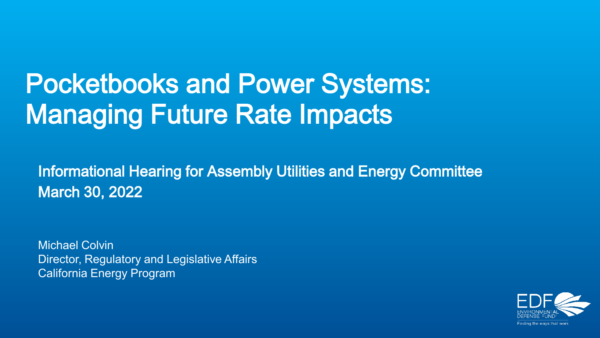# Pocketbooks and Power Systems: Managing Future Rate Impacts

Informational Hearing for Assembly Utilities and Energy Committee March 30, 2022

Michael Colvin Director, Regulatory and Legislative Affairs California Energy Program

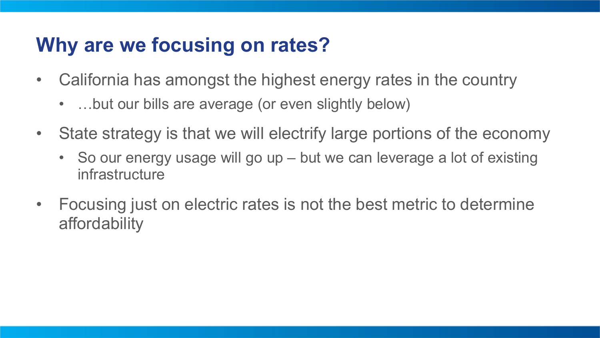## **Why are we focusing on rates?**

- California has amongst the highest energy rates in the country
	- ...but our bills are average (or even slightly below)
- State strategy is that we will electrify large portions of the economy
	- So our energy usage will go up but we can leverage a lot of existing infrastructure
- Focusing just on electric rates is not the best metric to determine affordability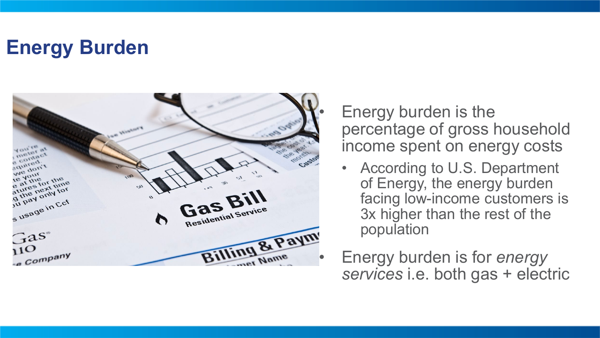### **Energy Burden**



Energy burden is the percentage of gross household income spent on energy costs

- According to U.S. Department of Energy, the energy burden facing low -income customers is 3x higher than the rest of the population
- *services* i.e. both gas + electric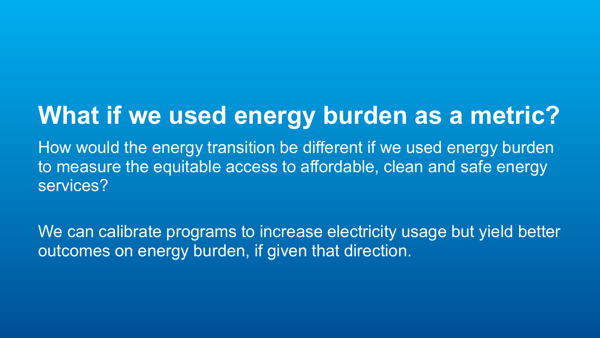# **What if we used energy burden as a metric?**

How would the energy transition be different if we used energy burden to measure the equitable access to affordable, clean and safe energy services?

We can calibrate programs to increase electricity usage but yield better outcomes on energy burden, if given that direction.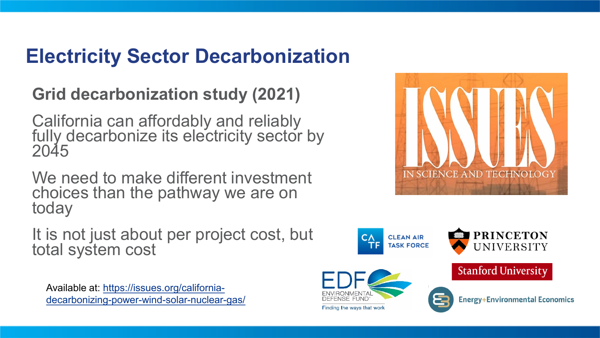## **Electricity Sector Decarbonization**

#### **Grid decarbonization study (2021)**

California can affordably and reliably fully decarbonize its electricity sector by 2045

We need to make different investment choices than the pathway we are on today

It is not just about per project cost, but total system cost

Available at: https://issues.org/california[decarbonizing-power-wind-solar-nuclear-gas/](https://issues.org/california-decarbonizing-power-wind-solar-nuclear-gas/)



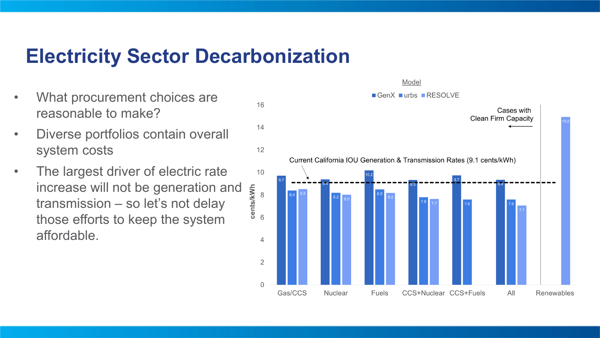#### **Electricity Sector Decarbonization**

- What procurement choices are reasonable to make?
- Diverse portfolios contain overall system costs
- The largest driver of electric rate increase will not be generation and cents/kWh transmission – so let's not delay those efforts to keep the system affordable.

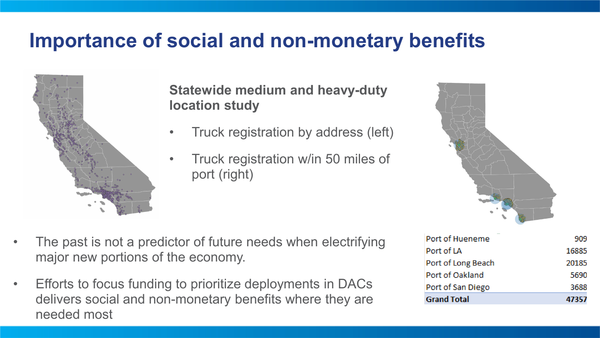#### **Importance of social and non-monetary benefits**



**Statewide medium and heavy-duty location study**

- Truck registration by address (left)
- Truck registration w/in 50 miles of port (right)



- The past is not a predictor of future needs when electrifying major new portions of the economy.
- Efforts to focus funding to prioritize deployments in DACs delivers social and non-monetary benefits where they are needed most

| <b>Grand Total</b> | 47357 |
|--------------------|-------|
| Port of San Diego  | 3688  |
| Port of Oakland    | 5690  |
| Port of Long Beach | 20185 |
| Port of LA         | 16885 |
| Port of Hueneme    | 909   |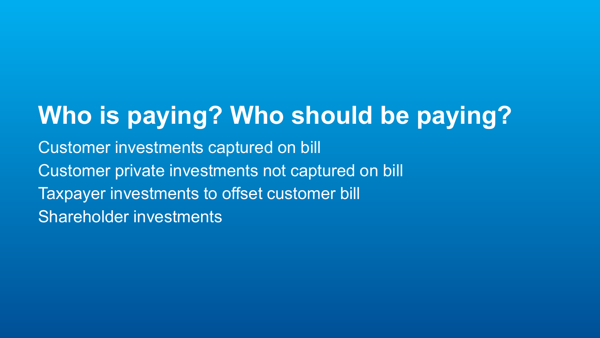# **Who is paying? Who should be paying?**

Customer investments captured on bill Customer private investments not captured on bill Taxpayer investments to offset customer bill Shareholder investments